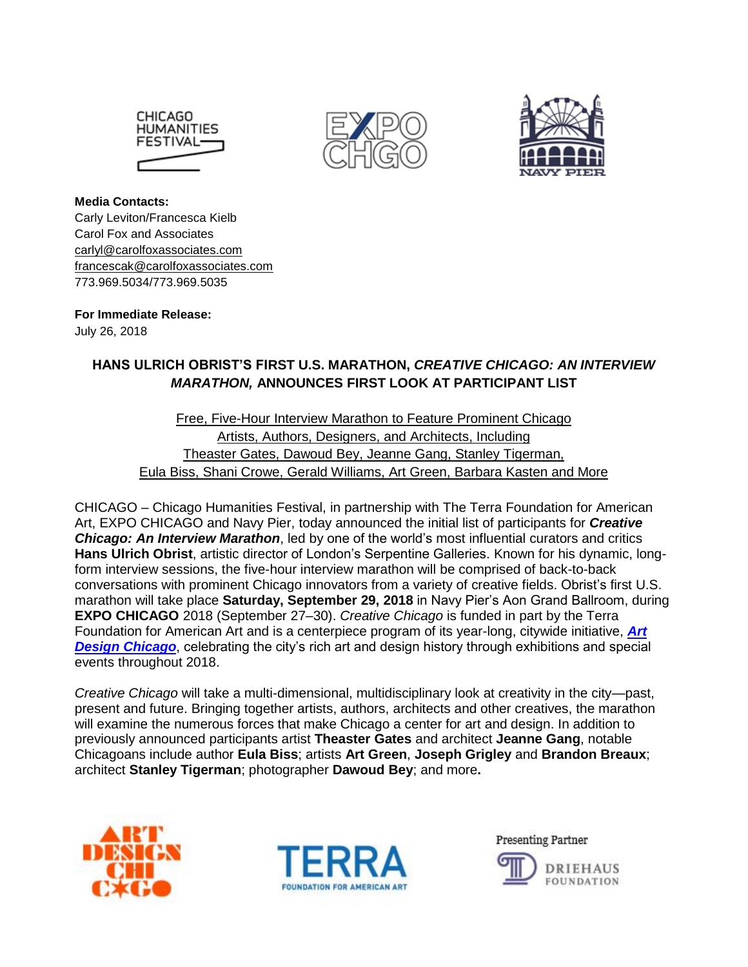





**Media Contacts:**  Carly Leviton/Francesca Kielb Carol Fox and Associates [carlyl@carolfoxassociates.com](mailto:carlyl@carolfoxassociates.com) [francescak@carolfoxassociates.com](mailto:francescak@carolfoxassociates.com) 773.969.5034/773.969.5035

**For Immediate Release:** July 26, 2018

# **HANS ULRICH OBRIST'S FIRST U.S. MARATHON,** *CREATIVE CHICAGO: AN INTERVIEW MARATHON,* **ANNOUNCES FIRST LOOK AT PARTICIPANT LIST**

## Free, Five-Hour Interview Marathon to Feature Prominent Chicago Artists, Authors, Designers, and Architects, Including Theaster Gates, Dawoud Bey, Jeanne Gang, Stanley Tigerman, Eula Biss, Shani Crowe, Gerald Williams, Art Green, Barbara Kasten and More

CHICAGO – Chicago Humanities Festival, in partnership with The Terra Foundation for American Art, EXPO CHICAGO and Navy Pier, today announced the initial list of participants for *Creative Chicago: An Interview Marathon*, led by one of the world's most influential curators and critics **Hans Ulrich Obrist**, artistic director of London's Serpentine Galleries. Known for his dynamic, longform interview sessions, the five-hour interview marathon will be comprised of back-to-back conversations with prominent Chicago innovators from a variety of creative fields. Obrist's first U.S. marathon will take place **Saturday, September 29, 2018** in Navy Pier's Aon Grand Ballroom, during **EXPO CHICAGO** 2018 (September 27–30). *Creative Chicago* is funded in part by the Terra Foundation for American Art and is a centerpiece program of its year-long, citywide initiative, *[Art](https://www.artdesignchicago.org/)*  **[Design Chicago](https://www.artdesignchicago.org/)**, celebrating the city's rich art and design history through exhibitions and special events throughout 2018.

*Creative Chicago* will take a multi-dimensional, multidisciplinary look at creativity in the city—past, present and future. Bringing together artists, authors, architects and other creatives, the marathon will examine the numerous forces that make Chicago a center for art and design. In addition to previously announced participants artist **Theaster Gates** and architect **Jeanne Gang**, notable Chicagoans include author **Eula Biss**; artists **Art Green**, **Joseph Grigley** and **Brandon Breaux**; architect **Stanley Tigerman**; photographer **Dawoud Bey**; and more**.**





**Presenting Partner** 

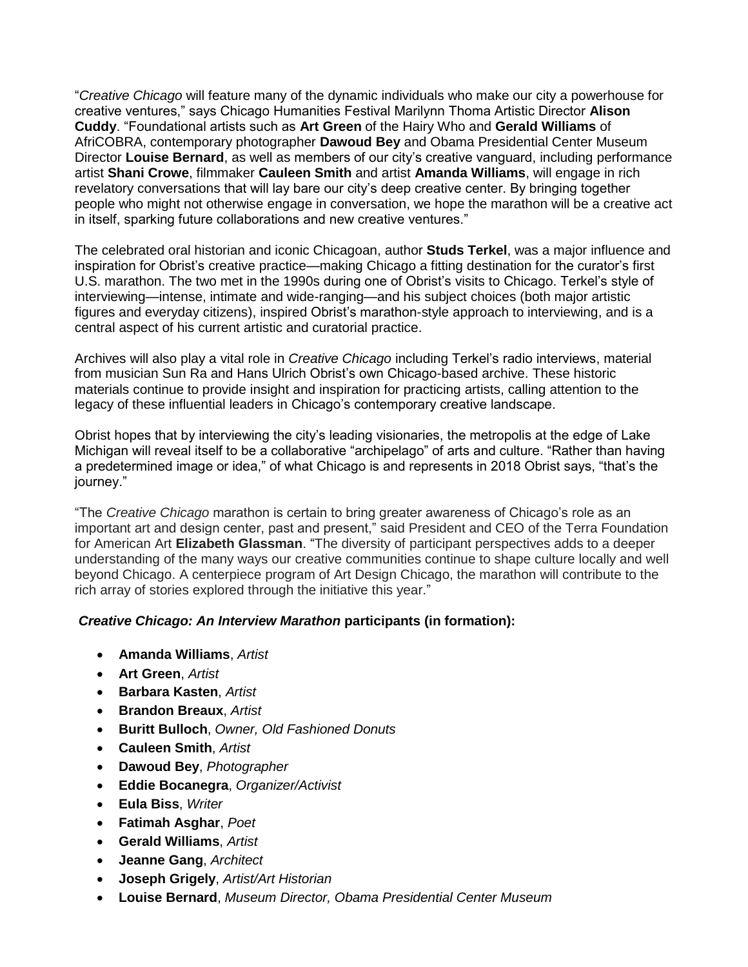"*Creative Chicago* will feature many of the dynamic individuals who make our city a powerhouse for creative ventures," says Chicago Humanities Festival Marilynn Thoma Artistic Director **Alison Cuddy**. "Foundational artists such as **Art Green** of the Hairy Who and **Gerald Williams** of AfriCOBRA, contemporary photographer **Dawoud Bey** and Obama Presidential Center Museum Director **Louise Bernard**, as well as members of our city's creative vanguard, including performance artist **Shani Crowe**, filmmaker **Cauleen Smith** and artist **Amanda Williams**, will engage in rich revelatory conversations that will lay bare our city's deep creative center. By bringing together people who might not otherwise engage in conversation, we hope the marathon will be a creative act in itself, sparking future collaborations and new creative ventures."

The celebrated oral historian and iconic Chicagoan, author **Studs Terkel**, was a major influence and inspiration for Obrist's creative practice—making Chicago a fitting destination for the curator's first U.S. marathon. The two met in the 1990s during one of Obrist's visits to Chicago. Terkel's style of interviewing—intense, intimate and wide-ranging—and his subject choices (both major artistic figures and everyday citizens), inspired Obrist's marathon-style approach to interviewing, and is a central aspect of his current artistic and curatorial practice.

Archives will also play a vital role in *Creative Chicago* including Terkel's radio interviews, material from musician Sun Ra and Hans Ulrich Obrist's own Chicago-based archive. These historic materials continue to provide insight and inspiration for practicing artists, calling attention to the legacy of these influential leaders in Chicago's contemporary creative landscape.

Obrist hopes that by interviewing the city's leading visionaries, the metropolis at the edge of Lake Michigan will reveal itself to be a collaborative "archipelago" of arts and culture. "Rather than having a predetermined image or idea," of what Chicago is and represents in 2018 Obrist says, "that's the journey."

"The *Creative Chicago* marathon is certain to bring greater awareness of Chicago's role as an important art and design center, past and present," said President and CEO of the Terra Foundation for American Art **Elizabeth Glassman**. "The diversity of participant perspectives adds to a deeper understanding of the many ways our creative communities continue to shape culture locally and well beyond Chicago. A centerpiece program of Art Design Chicago, the marathon will contribute to the rich array of stories explored through the initiative this year."

#### *Creative Chicago: An Interview Marathon* **participants (in formation):**

- **Amanda Williams**, *Artist*
- **Art Green**, *Artist*
- **Barbara Kasten**, *Artist*
- **Brandon Breaux**, *Artist*
- **Buritt Bulloch**, *Owner, Old Fashioned Donuts*
- **Cauleen Smith**, *Artist*
- **Dawoud Bey**, *Photographer*
- **Eddie Bocanegra**, *Organizer/Activist*
- **Eula Biss**, *Writer*
- **Fatimah Asghar**, *Poet*
- **Gerald Williams**, *Artist*
- **Jeanne Gang**, *Architect*
- **Joseph Grigely**, *Artist/Art Historian*
- **Louise Bernard**, *Museum Director, Obama Presidential Center Museum*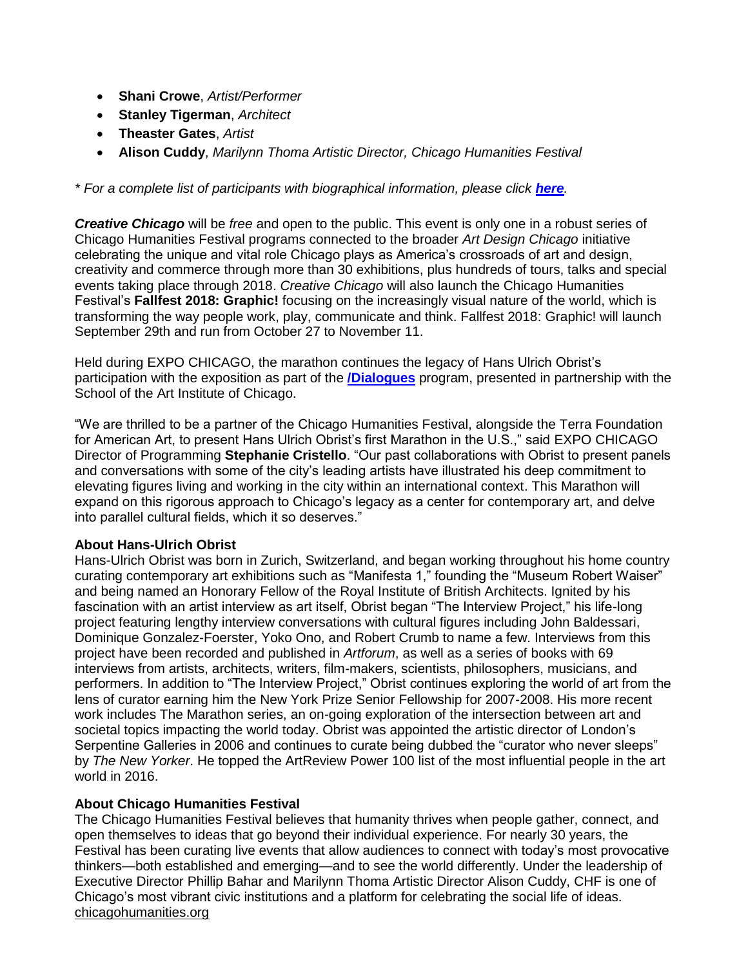- **Shani Crowe**, *Artist/Performer*
- **Stanley Tigerman**, *Architect*
- **Theaster Gates**, *Artist*
- **Alison Cuddy**, *Marilynn Thoma Artistic Director, Chicago Humanities Festival*

*\* For a complete list of participants with biographical information, please click [here](https://carolfox.box.com/s/wwymfjlzp2hgtlazcehgunwypv6w8gn7).* 

*Creative Chicago* will be *free* and open to the public. This event is only one in a robust series of Chicago Humanities Festival programs connected to the broader *Art Design Chicago* initiative celebrating the unique and vital role Chicago plays as America's crossroads of art and design, creativity and commerce through more than 30 exhibitions, plus hundreds of tours, talks and special events taking place through 2018. *Creative Chicago* will also launch the Chicago Humanities Festival's **Fallfest 2018: Graphic!** focusing on the increasingly visual nature of the world, which is transforming the way people work, play, communicate and think. Fallfest 2018: Graphic! will launch September 29th and run from October 27 to November 11.

Held during EXPO CHICAGO, the marathon continues the legacy of Hans Ulrich Obrist's participation with the exposition as part of the **[/Dialogues](https://www.expochicago.com/programs/dialogues)** program, presented in partnership with the School of the Art Institute of Chicago.

"We are thrilled to be a partner of the Chicago Humanities Festival, alongside the Terra Foundation for American Art, to present Hans Ulrich Obrist's first Marathon in the U.S.," said EXPO CHICAGO Director of Programming **Stephanie Cristello**. "Our past collaborations with Obrist to present panels and conversations with some of the city's leading artists have illustrated his deep commitment to elevating figures living and working in the city within an international context. This Marathon will expand on this rigorous approach to Chicago's legacy as a center for contemporary art, and delve into parallel cultural fields, which it so deserves."

#### **About Hans-Ulrich Obrist**

Hans-Ulrich Obrist was born in Zurich, Switzerland, and began working throughout his home country curating contemporary art exhibitions such as "Manifesta 1," founding the "Museum Robert Waiser" and being named an Honorary Fellow of the Royal Institute of British Architects. Ignited by his fascination with an artist interview as art itself, Obrist began "The Interview Project," his life-long project featuring lengthy interview conversations with cultural figures including John Baldessari, Dominique Gonzalez-Foerster, Yoko Ono, and Robert Crumb to name a few. Interviews from this project have been recorded and published in *Artforum*, as well as a series of books with 69 interviews from artists, architects, writers, film-makers, scientists, philosophers, musicians, and performers. In addition to "The Interview Project," Obrist continues exploring the world of art from the lens of curator earning him the New York Prize Senior Fellowship for 2007-2008. His more recent work includes The Marathon series, an on-going exploration of the intersection between art and societal topics impacting the world today. Obrist was appointed the artistic director of London's Serpentine Galleries in 2006 and continues to curate being dubbed the "curator who never sleeps" by *The New Yorker*. He topped the ArtReview Power 100 list of the most influential people in the art world in 2016.

#### **About Chicago Humanities Festival**

The Chicago Humanities Festival believes that humanity thrives when people gather, connect, and open themselves to ideas that go beyond their individual experience. For nearly 30 years, the Festival has been curating live events that allow audiences to connect with today's most provocative thinkers—both established and emerging—and to see the world differently. Under the leadership of Executive Director Phillip Bahar and Marilynn Thoma Artistic Director Alison Cuddy, CHF is one of Chicago's most vibrant civic institutions and a platform for celebrating the social life of ideas. [chicagohumanities.org](https://chicagohumanities.org/)